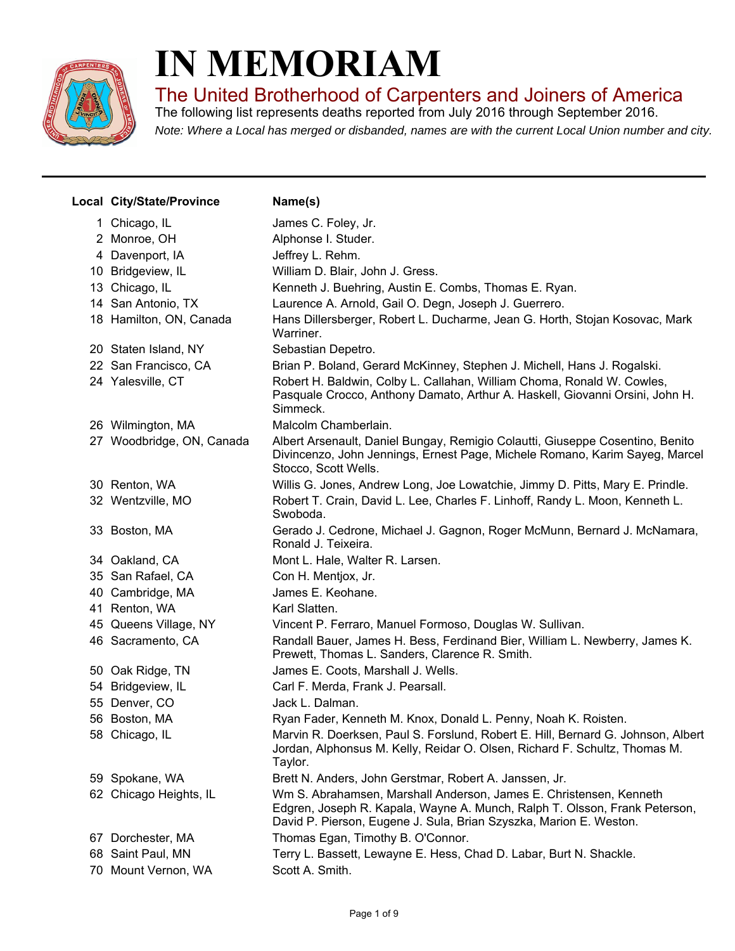

## **IN MEMORIAM**

The United Brotherhood of Carpenters and Joiners of America

*Note: Where a Local has merged or disbanded, names are with the current Local Union number and city.* The following list represents deaths reported from July 2016 through September 2016.

| Local City/State/Province | Name(s)                                                                                                                                                                                                                |
|---------------------------|------------------------------------------------------------------------------------------------------------------------------------------------------------------------------------------------------------------------|
| 1 Chicago, IL             | James C. Foley, Jr.                                                                                                                                                                                                    |
| 2 Monroe, OH              | Alphonse I. Studer.                                                                                                                                                                                                    |
| 4 Davenport, IA           | Jeffrey L. Rehm.                                                                                                                                                                                                       |
| 10 Bridgeview, IL         | William D. Blair, John J. Gress.                                                                                                                                                                                       |
| 13 Chicago, IL            | Kenneth J. Buehring, Austin E. Combs, Thomas E. Ryan.                                                                                                                                                                  |
| 14 San Antonio, TX        | Laurence A. Arnold, Gail O. Degn, Joseph J. Guerrero.                                                                                                                                                                  |
| 18 Hamilton, ON, Canada   | Hans Dillersberger, Robert L. Ducharme, Jean G. Horth, Stojan Kosovac, Mark<br>Warriner.                                                                                                                               |
| 20 Staten Island, NY      | Sebastian Depetro.                                                                                                                                                                                                     |
| 22 San Francisco, CA      | Brian P. Boland, Gerard McKinney, Stephen J. Michell, Hans J. Rogalski.                                                                                                                                                |
| 24 Yalesville, CT         | Robert H. Baldwin, Colby L. Callahan, William Choma, Ronald W. Cowles,<br>Pasquale Crocco, Anthony Damato, Arthur A. Haskell, Giovanni Orsini, John H.<br>Simmeck.                                                     |
| 26 Wilmington, MA         | Malcolm Chamberlain.                                                                                                                                                                                                   |
| 27 Woodbridge, ON, Canada | Albert Arsenault, Daniel Bungay, Remigio Colautti, Giuseppe Cosentino, Benito<br>Divincenzo, John Jennings, Ernest Page, Michele Romano, Karim Sayeg, Marcel<br>Stocco, Scott Wells.                                   |
| 30 Renton, WA             | Willis G. Jones, Andrew Long, Joe Lowatchie, Jimmy D. Pitts, Mary E. Prindle.                                                                                                                                          |
| 32 Wentzville, MO         | Robert T. Crain, David L. Lee, Charles F. Linhoff, Randy L. Moon, Kenneth L.<br>Swoboda.                                                                                                                               |
| 33 Boston, MA             | Gerado J. Cedrone, Michael J. Gagnon, Roger McMunn, Bernard J. McNamara,<br>Ronald J. Teixeira.                                                                                                                        |
| 34 Oakland, CA            | Mont L. Hale, Walter R. Larsen.                                                                                                                                                                                        |
| 35 San Rafael, CA         | Con H. Mentjox, Jr.                                                                                                                                                                                                    |
| 40 Cambridge, MA          | James E. Keohane.                                                                                                                                                                                                      |
| 41 Renton, WA             | Karl Slatten.                                                                                                                                                                                                          |
| 45 Queens Village, NY     | Vincent P. Ferraro, Manuel Formoso, Douglas W. Sullivan.                                                                                                                                                               |
| 46 Sacramento, CA         | Randall Bauer, James H. Bess, Ferdinand Bier, William L. Newberry, James K.<br>Prewett, Thomas L. Sanders, Clarence R. Smith.                                                                                          |
| 50 Oak Ridge, TN          | James E. Coots, Marshall J. Wells.                                                                                                                                                                                     |
| 54 Bridgeview, IL         | Carl F. Merda, Frank J. Pearsall.                                                                                                                                                                                      |
| 55 Denver, CO             | Jack L. Dalman.                                                                                                                                                                                                        |
| 56 Boston, MA             | Ryan Fader, Kenneth M. Knox, Donald L. Penny, Noah K. Roisten.                                                                                                                                                         |
| 58 Chicago, IL            | Marvin R. Doerksen, Paul S. Forslund, Robert E. Hill, Bernard G. Johnson, Albert<br>Jordan, Alphonsus M. Kelly, Reidar O. Olsen, Richard F. Schultz, Thomas M.<br>Taylor.                                              |
| 59 Spokane, WA            | Brett N. Anders, John Gerstmar, Robert A. Janssen, Jr.                                                                                                                                                                 |
| 62 Chicago Heights, IL    | Wm S. Abrahamsen, Marshall Anderson, James E. Christensen, Kenneth<br>Edgren, Joseph R. Kapala, Wayne A. Munch, Ralph T. Olsson, Frank Peterson,<br>David P. Pierson, Eugene J. Sula, Brian Szyszka, Marion E. Weston. |
| 67 Dorchester, MA         | Thomas Egan, Timothy B. O'Connor.                                                                                                                                                                                      |
| 68 Saint Paul, MN         | Terry L. Bassett, Lewayne E. Hess, Chad D. Labar, Burt N. Shackle.                                                                                                                                                     |
| 70 Mount Vernon, WA       | Scott A. Smith.                                                                                                                                                                                                        |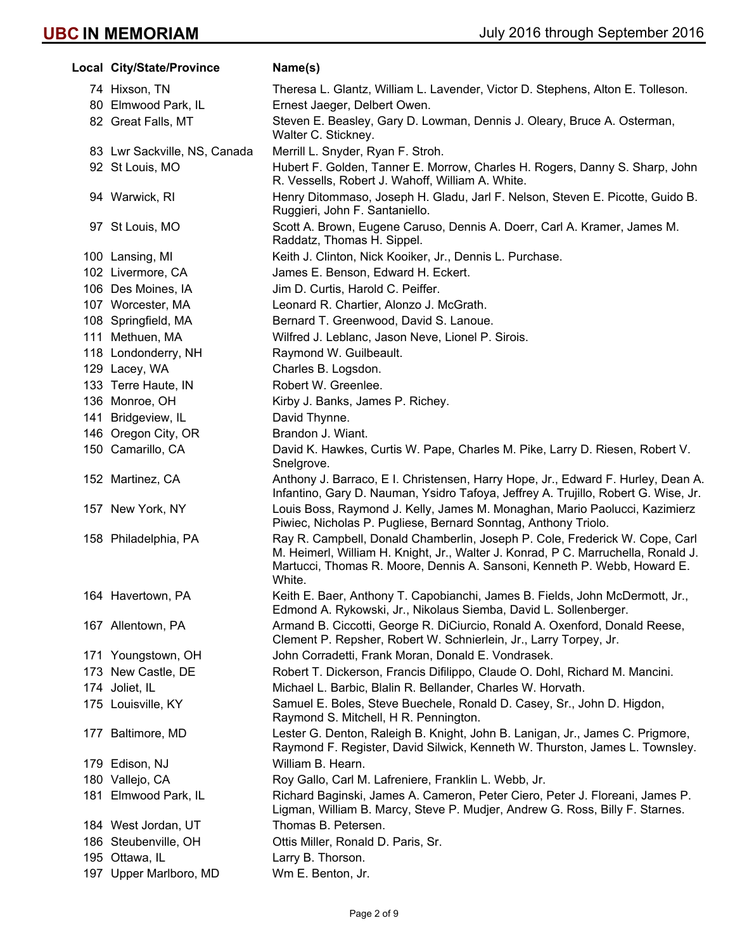| Local City/State/Province    | Name(s)                                                                                                                                                                                                                                                |  |
|------------------------------|--------------------------------------------------------------------------------------------------------------------------------------------------------------------------------------------------------------------------------------------------------|--|
| 74 Hixson, TN                | Theresa L. Glantz, William L. Lavender, Victor D. Stephens, Alton E. Tolleson.                                                                                                                                                                         |  |
| 80 Elmwood Park, IL          | Ernest Jaeger, Delbert Owen.                                                                                                                                                                                                                           |  |
| 82 Great Falls, MT           | Steven E. Beasley, Gary D. Lowman, Dennis J. Oleary, Bruce A. Osterman,<br>Walter C. Stickney.                                                                                                                                                         |  |
| 83 Lwr Sackville, NS, Canada | Merrill L. Snyder, Ryan F. Stroh.                                                                                                                                                                                                                      |  |
| 92 St Louis, MO              | Hubert F. Golden, Tanner E. Morrow, Charles H. Rogers, Danny S. Sharp, John<br>R. Vessells, Robert J. Wahoff, William A. White.                                                                                                                        |  |
| 94 Warwick, RI               | Henry Ditommaso, Joseph H. Gladu, Jarl F. Nelson, Steven E. Picotte, Guido B.<br>Ruggieri, John F. Santaniello.                                                                                                                                        |  |
| 97 St Louis, MO              | Scott A. Brown, Eugene Caruso, Dennis A. Doerr, Carl A. Kramer, James M.<br>Raddatz, Thomas H. Sippel.                                                                                                                                                 |  |
| 100 Lansing, MI              | Keith J. Clinton, Nick Kooiker, Jr., Dennis L. Purchase.                                                                                                                                                                                               |  |
| 102 Livermore, CA            | James E. Benson, Edward H. Eckert.                                                                                                                                                                                                                     |  |
| 106 Des Moines, IA           | Jim D. Curtis, Harold C. Peiffer.                                                                                                                                                                                                                      |  |
| 107 Worcester, MA            | Leonard R. Chartier, Alonzo J. McGrath.                                                                                                                                                                                                                |  |
| 108 Springfield, MA          | Bernard T. Greenwood, David S. Lanoue.                                                                                                                                                                                                                 |  |
| 111 Methuen, MA              | Wilfred J. Leblanc, Jason Neve, Lionel P. Sirois.                                                                                                                                                                                                      |  |
| 118 Londonderry, NH          | Raymond W. Guilbeault.                                                                                                                                                                                                                                 |  |
| 129 Lacey, WA                | Charles B. Logsdon.                                                                                                                                                                                                                                    |  |
| 133 Terre Haute, IN          | Robert W. Greenlee.                                                                                                                                                                                                                                    |  |
| 136 Monroe, OH               | Kirby J. Banks, James P. Richey.                                                                                                                                                                                                                       |  |
| 141 Bridgeview, IL           | David Thynne.                                                                                                                                                                                                                                          |  |
| 146 Oregon City, OR          | Brandon J. Wiant.                                                                                                                                                                                                                                      |  |
| 150 Camarillo, CA            | David K. Hawkes, Curtis W. Pape, Charles M. Pike, Larry D. Riesen, Robert V.<br>Snelgrove.                                                                                                                                                             |  |
| 152 Martinez, CA             | Anthony J. Barraco, E I. Christensen, Harry Hope, Jr., Edward F. Hurley, Dean A.<br>Infantino, Gary D. Nauman, Ysidro Tafoya, Jeffrey A. Trujillo, Robert G. Wise, Jr.                                                                                 |  |
| 157 New York, NY             | Louis Boss, Raymond J. Kelly, James M. Monaghan, Mario Paolucci, Kazimierz<br>Piwiec, Nicholas P. Pugliese, Bernard Sonntag, Anthony Triolo.                                                                                                           |  |
| 158 Philadelphia, PA         | Ray R. Campbell, Donald Chamberlin, Joseph P. Cole, Frederick W. Cope, Carl<br>M. Heimerl, William H. Knight, Jr., Walter J. Konrad, P C. Marruchella, Ronald J.<br>Martucci, Thomas R. Moore, Dennis A. Sansoni, Kenneth P. Webb, Howard E.<br>White. |  |
| 164 Havertown, PA            | Keith E. Baer, Anthony T. Capobianchi, James B. Fields, John McDermott, Jr.,<br>Edmond A. Rykowski, Jr., Nikolaus Siemba, David L. Sollenberger.                                                                                                       |  |
| 167 Allentown, PA            | Armand B. Ciccotti, George R. DiCiurcio, Ronald A. Oxenford, Donald Reese,<br>Clement P. Repsher, Robert W. Schnierlein, Jr., Larry Torpey, Jr.                                                                                                        |  |
| 171 Youngstown, OH           | John Corradetti, Frank Moran, Donald E. Vondrasek.                                                                                                                                                                                                     |  |
| 173 New Castle, DE           | Robert T. Dickerson, Francis Difilippo, Claude O. Dohl, Richard M. Mancini.                                                                                                                                                                            |  |
| 174 Joliet, IL               | Michael L. Barbic, Blalin R. Bellander, Charles W. Horvath.                                                                                                                                                                                            |  |
| 175 Louisville, KY           | Samuel E. Boles, Steve Buechele, Ronald D. Casey, Sr., John D. Higdon,<br>Raymond S. Mitchell, H R. Pennington.                                                                                                                                        |  |
| 177 Baltimore, MD            | Lester G. Denton, Raleigh B. Knight, John B. Lanigan, Jr., James C. Prigmore,<br>Raymond F. Register, David Silwick, Kenneth W. Thurston, James L. Townsley.                                                                                           |  |
| 179 Edison, NJ               | William B. Hearn.                                                                                                                                                                                                                                      |  |
| 180 Vallejo, CA              | Roy Gallo, Carl M. Lafreniere, Franklin L. Webb, Jr.                                                                                                                                                                                                   |  |
| 181 Elmwood Park, IL         | Richard Baginski, James A. Cameron, Peter Ciero, Peter J. Floreani, James P.<br>Ligman, William B. Marcy, Steve P. Mudjer, Andrew G. Ross, Billy F. Starnes.                                                                                           |  |
| 184 West Jordan, UT          | Thomas B. Petersen.                                                                                                                                                                                                                                    |  |
| 186 Steubenville, OH         | Ottis Miller, Ronald D. Paris, Sr.                                                                                                                                                                                                                     |  |
| 195 Ottawa, IL               | Larry B. Thorson.                                                                                                                                                                                                                                      |  |
| 197 Upper Marlboro, MD       | Wm E. Benton, Jr.                                                                                                                                                                                                                                      |  |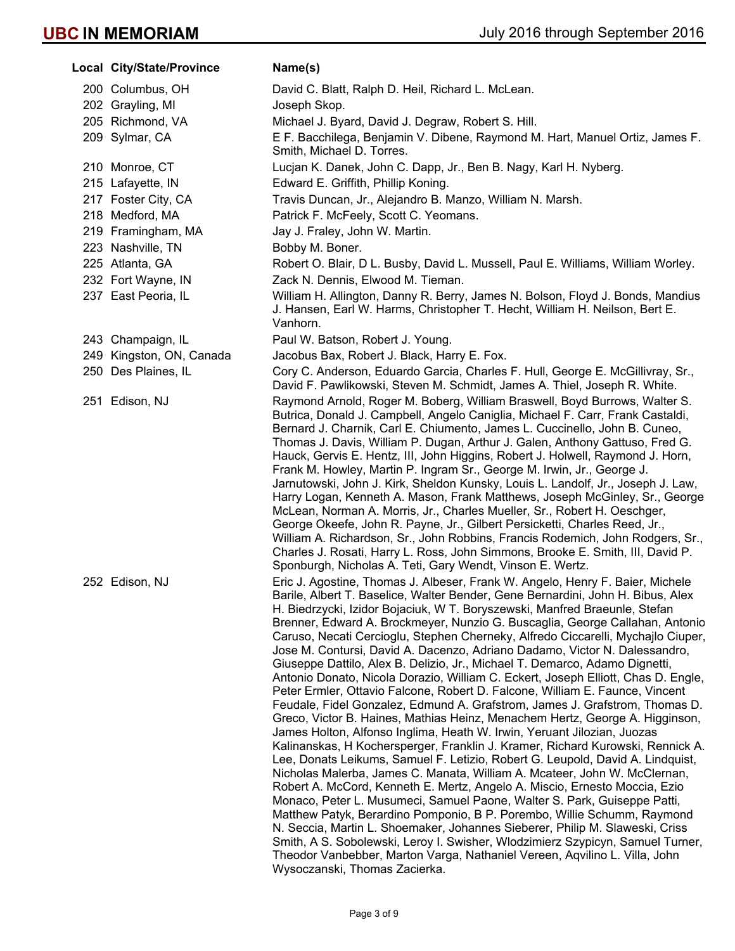| Local City/State/Province | Name(s)                                                                                                                                                                                                                                                                                                                                                                                                                                                                                                                                                                                                                                                                                                                                                                                                                                                                                                                                                                                                                                                                                                                                                                                                                                                                                                                                                                                                                                                                                                                                                                                                                                                                                                                                                               |  |
|---------------------------|-----------------------------------------------------------------------------------------------------------------------------------------------------------------------------------------------------------------------------------------------------------------------------------------------------------------------------------------------------------------------------------------------------------------------------------------------------------------------------------------------------------------------------------------------------------------------------------------------------------------------------------------------------------------------------------------------------------------------------------------------------------------------------------------------------------------------------------------------------------------------------------------------------------------------------------------------------------------------------------------------------------------------------------------------------------------------------------------------------------------------------------------------------------------------------------------------------------------------------------------------------------------------------------------------------------------------------------------------------------------------------------------------------------------------------------------------------------------------------------------------------------------------------------------------------------------------------------------------------------------------------------------------------------------------------------------------------------------------------------------------------------------------|--|
| 200 Columbus, OH          | David C. Blatt, Ralph D. Heil, Richard L. McLean.                                                                                                                                                                                                                                                                                                                                                                                                                                                                                                                                                                                                                                                                                                                                                                                                                                                                                                                                                                                                                                                                                                                                                                                                                                                                                                                                                                                                                                                                                                                                                                                                                                                                                                                     |  |
| 202 Grayling, MI          | Joseph Skop.                                                                                                                                                                                                                                                                                                                                                                                                                                                                                                                                                                                                                                                                                                                                                                                                                                                                                                                                                                                                                                                                                                                                                                                                                                                                                                                                                                                                                                                                                                                                                                                                                                                                                                                                                          |  |
| 205 Richmond, VA          | Michael J. Byard, David J. Degraw, Robert S. Hill.                                                                                                                                                                                                                                                                                                                                                                                                                                                                                                                                                                                                                                                                                                                                                                                                                                                                                                                                                                                                                                                                                                                                                                                                                                                                                                                                                                                                                                                                                                                                                                                                                                                                                                                    |  |
| 209 Sylmar, CA            | E F. Bacchilega, Benjamin V. Dibene, Raymond M. Hart, Manuel Ortiz, James F.<br>Smith, Michael D. Torres.                                                                                                                                                                                                                                                                                                                                                                                                                                                                                                                                                                                                                                                                                                                                                                                                                                                                                                                                                                                                                                                                                                                                                                                                                                                                                                                                                                                                                                                                                                                                                                                                                                                             |  |
| 210 Monroe, CT            | Lucjan K. Danek, John C. Dapp, Jr., Ben B. Nagy, Karl H. Nyberg.                                                                                                                                                                                                                                                                                                                                                                                                                                                                                                                                                                                                                                                                                                                                                                                                                                                                                                                                                                                                                                                                                                                                                                                                                                                                                                                                                                                                                                                                                                                                                                                                                                                                                                      |  |
| 215 Lafayette, IN         | Edward E. Griffith, Phillip Koning.                                                                                                                                                                                                                                                                                                                                                                                                                                                                                                                                                                                                                                                                                                                                                                                                                                                                                                                                                                                                                                                                                                                                                                                                                                                                                                                                                                                                                                                                                                                                                                                                                                                                                                                                   |  |
| 217 Foster City, CA       | Travis Duncan, Jr., Alejandro B. Manzo, William N. Marsh.                                                                                                                                                                                                                                                                                                                                                                                                                                                                                                                                                                                                                                                                                                                                                                                                                                                                                                                                                                                                                                                                                                                                                                                                                                                                                                                                                                                                                                                                                                                                                                                                                                                                                                             |  |
| 218 Medford, MA           | Patrick F. McFeely, Scott C. Yeomans.                                                                                                                                                                                                                                                                                                                                                                                                                                                                                                                                                                                                                                                                                                                                                                                                                                                                                                                                                                                                                                                                                                                                                                                                                                                                                                                                                                                                                                                                                                                                                                                                                                                                                                                                 |  |
| 219 Framingham, MA        | Jay J. Fraley, John W. Martin.                                                                                                                                                                                                                                                                                                                                                                                                                                                                                                                                                                                                                                                                                                                                                                                                                                                                                                                                                                                                                                                                                                                                                                                                                                                                                                                                                                                                                                                                                                                                                                                                                                                                                                                                        |  |
| 223 Nashville, TN         | Bobby M. Boner.                                                                                                                                                                                                                                                                                                                                                                                                                                                                                                                                                                                                                                                                                                                                                                                                                                                                                                                                                                                                                                                                                                                                                                                                                                                                                                                                                                                                                                                                                                                                                                                                                                                                                                                                                       |  |
| 225 Atlanta, GA           | Robert O. Blair, D L. Busby, David L. Mussell, Paul E. Williams, William Worley.                                                                                                                                                                                                                                                                                                                                                                                                                                                                                                                                                                                                                                                                                                                                                                                                                                                                                                                                                                                                                                                                                                                                                                                                                                                                                                                                                                                                                                                                                                                                                                                                                                                                                      |  |
| 232 Fort Wayne, IN        | Zack N. Dennis, Elwood M. Tieman.                                                                                                                                                                                                                                                                                                                                                                                                                                                                                                                                                                                                                                                                                                                                                                                                                                                                                                                                                                                                                                                                                                                                                                                                                                                                                                                                                                                                                                                                                                                                                                                                                                                                                                                                     |  |
| 237 East Peoria, IL       | William H. Allington, Danny R. Berry, James N. Bolson, Floyd J. Bonds, Mandius<br>J. Hansen, Earl W. Harms, Christopher T. Hecht, William H. Neilson, Bert E.<br>Vanhorn.                                                                                                                                                                                                                                                                                                                                                                                                                                                                                                                                                                                                                                                                                                                                                                                                                                                                                                                                                                                                                                                                                                                                                                                                                                                                                                                                                                                                                                                                                                                                                                                             |  |
| 243 Champaign, IL         | Paul W. Batson, Robert J. Young.                                                                                                                                                                                                                                                                                                                                                                                                                                                                                                                                                                                                                                                                                                                                                                                                                                                                                                                                                                                                                                                                                                                                                                                                                                                                                                                                                                                                                                                                                                                                                                                                                                                                                                                                      |  |
| 249 Kingston, ON, Canada  | Jacobus Bax, Robert J. Black, Harry E. Fox.                                                                                                                                                                                                                                                                                                                                                                                                                                                                                                                                                                                                                                                                                                                                                                                                                                                                                                                                                                                                                                                                                                                                                                                                                                                                                                                                                                                                                                                                                                                                                                                                                                                                                                                           |  |
| 250 Des Plaines, IL       | Cory C. Anderson, Eduardo Garcia, Charles F. Hull, George E. McGillivray, Sr.,<br>David F. Pawlikowski, Steven M. Schmidt, James A. Thiel, Joseph R. White.                                                                                                                                                                                                                                                                                                                                                                                                                                                                                                                                                                                                                                                                                                                                                                                                                                                                                                                                                                                                                                                                                                                                                                                                                                                                                                                                                                                                                                                                                                                                                                                                           |  |
| 251 Edison, NJ            | Raymond Arnold, Roger M. Boberg, William Braswell, Boyd Burrows, Walter S.<br>Butrica, Donald J. Campbell, Angelo Caniglia, Michael F. Carr, Frank Castaldi,<br>Bernard J. Charnik, Carl E. Chiumento, James L. Cuccinello, John B. Cuneo,<br>Thomas J. Davis, William P. Dugan, Arthur J. Galen, Anthony Gattuso, Fred G.<br>Hauck, Gervis E. Hentz, III, John Higgins, Robert J. Holwell, Raymond J. Horn,<br>Frank M. Howley, Martin P. Ingram Sr., George M. Irwin, Jr., George J.<br>Jarnutowski, John J. Kirk, Sheldon Kunsky, Louis L. Landolf, Jr., Joseph J. Law,<br>Harry Logan, Kenneth A. Mason, Frank Matthews, Joseph McGinley, Sr., George<br>McLean, Norman A. Morris, Jr., Charles Mueller, Sr., Robert H. Oeschger,<br>George Okeefe, John R. Payne, Jr., Gilbert Persicketti, Charles Reed, Jr.,<br>William A. Richardson, Sr., John Robbins, Francis Rodemich, John Rodgers, Sr.,<br>Charles J. Rosati, Harry L. Ross, John Simmons, Brooke E. Smith, III, David P.<br>Sponburgh, Nicholas A. Teti, Gary Wendt, Vinson E. Wertz.                                                                                                                                                                                                                                                                                                                                                                                                                                                                                                                                                                                                                                                                                                                  |  |
| 252 Edison, NJ            | Eric J. Agostine, Thomas J. Albeser, Frank W. Angelo, Henry F. Baier, Michele<br>Barile, Albert T. Baselice, Walter Bender, Gene Bernardini, John H. Bibus, Alex<br>H. Biedrzycki, Izidor Bojaciuk, W T. Boryszewski, Manfred Braeunle, Stefan<br>Brenner, Edward A. Brockmeyer, Nunzio G. Buscaglia, George Callahan, Antonio<br>Caruso, Necati Cercioglu, Stephen Cherneky, Alfredo Ciccarelli, Mychajlo Ciuper,<br>Jose M. Contursi, David A. Dacenzo, Adriano Dadamo, Victor N. Dalessandro,<br>Giuseppe Dattilo, Alex B. Delizio, Jr., Michael T. Demarco, Adamo Dignetti,<br>Antonio Donato, Nicola Dorazio, William C. Eckert, Joseph Elliott, Chas D. Engle,<br>Peter Ermler, Ottavio Falcone, Robert D. Falcone, William E. Faunce, Vincent<br>Feudale, Fidel Gonzalez, Edmund A. Grafstrom, James J. Grafstrom, Thomas D.<br>Greco, Victor B. Haines, Mathias Heinz, Menachem Hertz, George A. Higginson,<br>James Holton, Alfonso Inglima, Heath W. Irwin, Yeruant Jilozian, Juozas<br>Kalinanskas, H Kochersperger, Franklin J. Kramer, Richard Kurowski, Rennick A.<br>Lee, Donats Leikums, Samuel F. Letizio, Robert G. Leupold, David A. Lindquist,<br>Nicholas Malerba, James C. Manata, William A. Mcateer, John W. McClernan,<br>Robert A. McCord, Kenneth E. Mertz, Angelo A. Miscio, Ernesto Moccia, Ezio<br>Monaco, Peter L. Musumeci, Samuel Paone, Walter S. Park, Guiseppe Patti,<br>Matthew Patyk, Berardino Pomponio, B P. Porembo, Willie Schumm, Raymond<br>N. Seccia, Martin L. Shoemaker, Johannes Sieberer, Philip M. Slaweski, Criss<br>Smith, A S. Sobolewski, Leroy I. Swisher, Wlodzimierz Szypicyn, Samuel Turner,<br>Theodor Vanbebber, Marton Varga, Nathaniel Vereen, Aqvilino L. Villa, John<br>Wysoczanski, Thomas Zacierka. |  |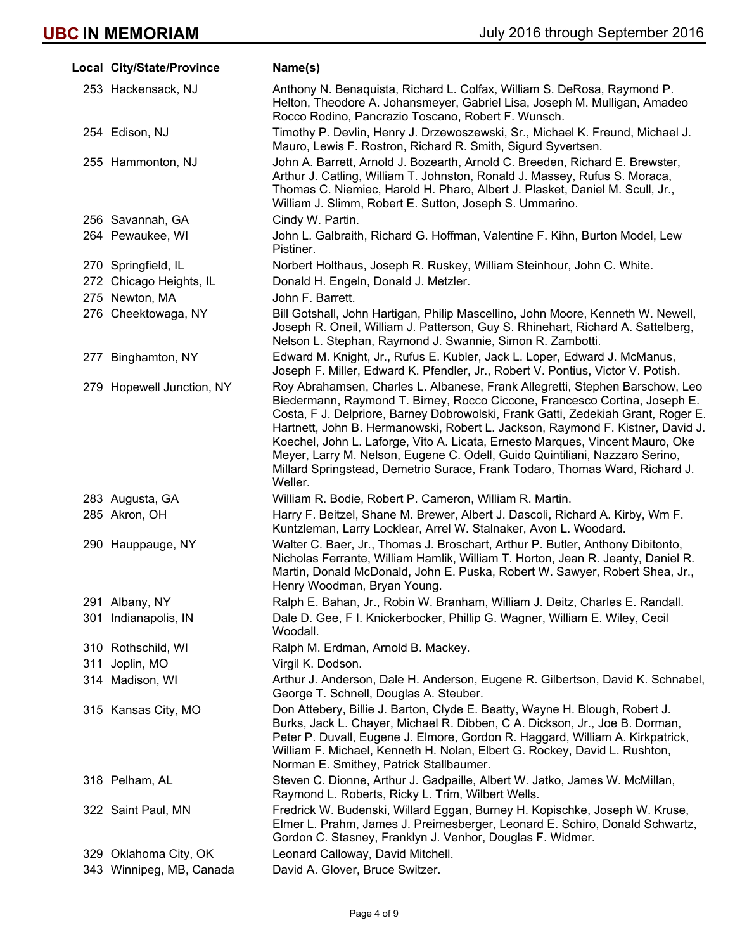| Local City/State/Province | Name(s)                                                                                                                                                                                                                                                                                                                                                                                                                                                                                                                                                                                    |
|---------------------------|--------------------------------------------------------------------------------------------------------------------------------------------------------------------------------------------------------------------------------------------------------------------------------------------------------------------------------------------------------------------------------------------------------------------------------------------------------------------------------------------------------------------------------------------------------------------------------------------|
| 253 Hackensack, NJ        | Anthony N. Benaquista, Richard L. Colfax, William S. DeRosa, Raymond P.<br>Helton, Theodore A. Johansmeyer, Gabriel Lisa, Joseph M. Mulligan, Amadeo<br>Rocco Rodino, Pancrazio Toscano, Robert F. Wunsch.                                                                                                                                                                                                                                                                                                                                                                                 |
| 254 Edison, NJ            | Timothy P. Devlin, Henry J. Drzewoszewski, Sr., Michael K. Freund, Michael J.<br>Mauro, Lewis F. Rostron, Richard R. Smith, Sigurd Syvertsen.                                                                                                                                                                                                                                                                                                                                                                                                                                              |
| 255 Hammonton, NJ         | John A. Barrett, Arnold J. Bozearth, Arnold C. Breeden, Richard E. Brewster,<br>Arthur J. Catling, William T. Johnston, Ronald J. Massey, Rufus S. Moraca,<br>Thomas C. Niemiec, Harold H. Pharo, Albert J. Plasket, Daniel M. Scull, Jr.,<br>William J. Slimm, Robert E. Sutton, Joseph S. Ummarino.                                                                                                                                                                                                                                                                                      |
| 256 Savannah, GA          | Cindy W. Partin.                                                                                                                                                                                                                                                                                                                                                                                                                                                                                                                                                                           |
| 264 Pewaukee, WI          | John L. Galbraith, Richard G. Hoffman, Valentine F. Kihn, Burton Model, Lew<br>Pistiner.                                                                                                                                                                                                                                                                                                                                                                                                                                                                                                   |
| 270 Springfield, IL       | Norbert Holthaus, Joseph R. Ruskey, William Steinhour, John C. White.                                                                                                                                                                                                                                                                                                                                                                                                                                                                                                                      |
| 272 Chicago Heights, IL   | Donald H. Engeln, Donald J. Metzler.                                                                                                                                                                                                                                                                                                                                                                                                                                                                                                                                                       |
| 275 Newton, MA            | John F. Barrett.                                                                                                                                                                                                                                                                                                                                                                                                                                                                                                                                                                           |
| 276 Cheektowaga, NY       | Bill Gotshall, John Hartigan, Philip Mascellino, John Moore, Kenneth W. Newell,<br>Joseph R. Oneil, William J. Patterson, Guy S. Rhinehart, Richard A. Sattelberg,<br>Nelson L. Stephan, Raymond J. Swannie, Simon R. Zambotti.                                                                                                                                                                                                                                                                                                                                                            |
| 277 Binghamton, NY        | Edward M. Knight, Jr., Rufus E. Kubler, Jack L. Loper, Edward J. McManus,<br>Joseph F. Miller, Edward K. Pfendler, Jr., Robert V. Pontius, Victor V. Potish.                                                                                                                                                                                                                                                                                                                                                                                                                               |
| 279 Hopewell Junction, NY | Roy Abrahamsen, Charles L. Albanese, Frank Allegretti, Stephen Barschow, Leo<br>Biedermann, Raymond T. Birney, Rocco Ciccone, Francesco Cortina, Joseph E.<br>Costa, F J. Delpriore, Barney Dobrowolski, Frank Gatti, Zedekiah Grant, Roger E.<br>Hartnett, John B. Hermanowski, Robert L. Jackson, Raymond F. Kistner, David J.<br>Koechel, John L. Laforge, Vito A. Licata, Ernesto Marques, Vincent Mauro, Oke<br>Meyer, Larry M. Nelson, Eugene C. Odell, Guido Quintiliani, Nazzaro Serino,<br>Millard Springstead, Demetrio Surace, Frank Todaro, Thomas Ward, Richard J.<br>Weller. |
| 283 Augusta, GA           | William R. Bodie, Robert P. Cameron, William R. Martin.                                                                                                                                                                                                                                                                                                                                                                                                                                                                                                                                    |
| 285 Akron, OH             | Harry F. Beitzel, Shane M. Brewer, Albert J. Dascoli, Richard A. Kirby, Wm F.<br>Kuntzleman, Larry Locklear, Arrel W. Stalnaker, Avon L. Woodard.                                                                                                                                                                                                                                                                                                                                                                                                                                          |
| 290 Hauppauge, NY         | Walter C. Baer, Jr., Thomas J. Broschart, Arthur P. Butler, Anthony Dibitonto,<br>Nicholas Ferrante, William Hamlik, William T. Horton, Jean R. Jeanty, Daniel R.<br>Martin, Donald McDonald, John E. Puska, Robert W. Sawyer, Robert Shea, Jr.,<br>Henry Woodman, Bryan Young.                                                                                                                                                                                                                                                                                                            |
| 291 Albany, NY            | Ralph E. Bahan, Jr., Robin W. Branham, William J. Deitz, Charles E. Randall.                                                                                                                                                                                                                                                                                                                                                                                                                                                                                                               |
| 301 Indianapolis, IN      | Dale D. Gee, F I. Knickerbocker, Phillip G. Wagner, William E. Wiley, Cecil<br>Woodall.                                                                                                                                                                                                                                                                                                                                                                                                                                                                                                    |
| 310 Rothschild, WI        | Ralph M. Erdman, Arnold B. Mackey.                                                                                                                                                                                                                                                                                                                                                                                                                                                                                                                                                         |
| 311 Joplin, MO            | Virgil K. Dodson.                                                                                                                                                                                                                                                                                                                                                                                                                                                                                                                                                                          |
| 314 Madison, WI           | Arthur J. Anderson, Dale H. Anderson, Eugene R. Gilbertson, David K. Schnabel,<br>George T. Schnell, Douglas A. Steuber.                                                                                                                                                                                                                                                                                                                                                                                                                                                                   |
| 315 Kansas City, MO       | Don Attebery, Billie J. Barton, Clyde E. Beatty, Wayne H. Blough, Robert J.<br>Burks, Jack L. Chayer, Michael R. Dibben, C A. Dickson, Jr., Joe B. Dorman,<br>Peter P. Duvall, Eugene J. Elmore, Gordon R. Haggard, William A. Kirkpatrick,<br>William F. Michael, Kenneth H. Nolan, Elbert G. Rockey, David L. Rushton,<br>Norman E. Smithey, Patrick Stallbaumer.                                                                                                                                                                                                                        |
| 318 Pelham, AL            | Steven C. Dionne, Arthur J. Gadpaille, Albert W. Jatko, James W. McMillan,<br>Raymond L. Roberts, Ricky L. Trim, Wilbert Wells.                                                                                                                                                                                                                                                                                                                                                                                                                                                            |
| 322 Saint Paul, MN        | Fredrick W. Budenski, Willard Eggan, Burney H. Kopischke, Joseph W. Kruse,<br>Elmer L. Prahm, James J. Preimesberger, Leonard E. Schiro, Donald Schwartz,<br>Gordon C. Stasney, Franklyn J. Venhor, Douglas F. Widmer.                                                                                                                                                                                                                                                                                                                                                                     |
| 329 Oklahoma City, OK     | Leonard Calloway, David Mitchell.                                                                                                                                                                                                                                                                                                                                                                                                                                                                                                                                                          |
| 343 Winnipeg, MB, Canada  | David A. Glover, Bruce Switzer.                                                                                                                                                                                                                                                                                                                                                                                                                                                                                                                                                            |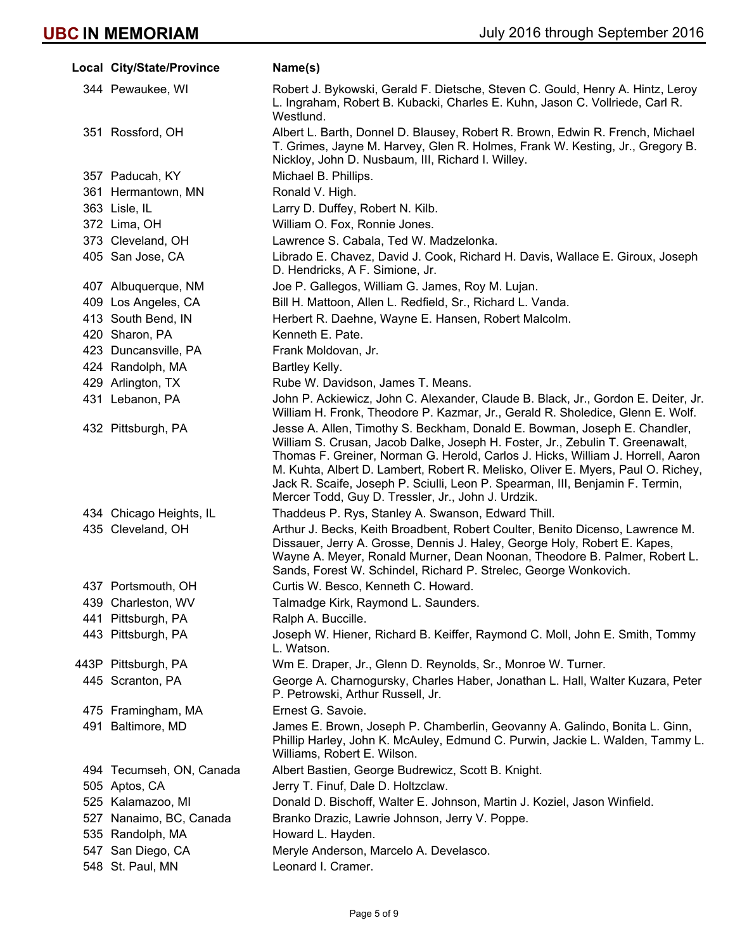| Local City/State/Province | Name(s)                                                                                                                                                                                                                                                                                                                                                                                                                                                                  |  |
|---------------------------|--------------------------------------------------------------------------------------------------------------------------------------------------------------------------------------------------------------------------------------------------------------------------------------------------------------------------------------------------------------------------------------------------------------------------------------------------------------------------|--|
| 344 Pewaukee, WI          | Robert J. Bykowski, Gerald F. Dietsche, Steven C. Gould, Henry A. Hintz, Leroy<br>L. Ingraham, Robert B. Kubacki, Charles E. Kuhn, Jason C. Vollriede, Carl R.<br>Westlund.                                                                                                                                                                                                                                                                                              |  |
| 351 Rossford, OH          | Albert L. Barth, Donnel D. Blausey, Robert R. Brown, Edwin R. French, Michael<br>T. Grimes, Jayne M. Harvey, Glen R. Holmes, Frank W. Kesting, Jr., Gregory B.<br>Nickloy, John D. Nusbaum, III, Richard I. Willey.                                                                                                                                                                                                                                                      |  |
| 357 Paducah, KY           | Michael B. Phillips.                                                                                                                                                                                                                                                                                                                                                                                                                                                     |  |
| 361 Hermantown, MN        | Ronald V. High.                                                                                                                                                                                                                                                                                                                                                                                                                                                          |  |
| 363 Lisle, IL             | Larry D. Duffey, Robert N. Kilb.                                                                                                                                                                                                                                                                                                                                                                                                                                         |  |
| 372 Lima, OH              | William O. Fox, Ronnie Jones.                                                                                                                                                                                                                                                                                                                                                                                                                                            |  |
| 373 Cleveland, OH         | Lawrence S. Cabala, Ted W. Madzelonka.                                                                                                                                                                                                                                                                                                                                                                                                                                   |  |
| 405 San Jose, CA          | Librado E. Chavez, David J. Cook, Richard H. Davis, Wallace E. Giroux, Joseph<br>D. Hendricks, A F. Simione, Jr.                                                                                                                                                                                                                                                                                                                                                         |  |
| 407 Albuquerque, NM       | Joe P. Gallegos, William G. James, Roy M. Lujan.                                                                                                                                                                                                                                                                                                                                                                                                                         |  |
| 409 Los Angeles, CA       | Bill H. Mattoon, Allen L. Redfield, Sr., Richard L. Vanda.                                                                                                                                                                                                                                                                                                                                                                                                               |  |
| 413 South Bend, IN        | Herbert R. Daehne, Wayne E. Hansen, Robert Malcolm.                                                                                                                                                                                                                                                                                                                                                                                                                      |  |
| 420 Sharon, PA            | Kenneth E. Pate.                                                                                                                                                                                                                                                                                                                                                                                                                                                         |  |
| 423 Duncansville, PA      | Frank Moldovan, Jr.                                                                                                                                                                                                                                                                                                                                                                                                                                                      |  |
| 424 Randolph, MA          | Bartley Kelly.                                                                                                                                                                                                                                                                                                                                                                                                                                                           |  |
| 429 Arlington, TX         | Rube W. Davidson, James T. Means.                                                                                                                                                                                                                                                                                                                                                                                                                                        |  |
| 431 Lebanon, PA           | John P. Ackiewicz, John C. Alexander, Claude B. Black, Jr., Gordon E. Deiter, Jr.<br>William H. Fronk, Theodore P. Kazmar, Jr., Gerald R. Sholedice, Glenn E. Wolf.                                                                                                                                                                                                                                                                                                      |  |
| 432 Pittsburgh, PA        | Jesse A. Allen, Timothy S. Beckham, Donald E. Bowman, Joseph E. Chandler,<br>William S. Crusan, Jacob Dalke, Joseph H. Foster, Jr., Zebulin T. Greenawalt,<br>Thomas F. Greiner, Norman G. Herold, Carlos J. Hicks, William J. Horrell, Aaron<br>M. Kuhta, Albert D. Lambert, Robert R. Melisko, Oliver E. Myers, Paul O. Richey,<br>Jack R. Scaife, Joseph P. Sciulli, Leon P. Spearman, III, Benjamin F. Termin,<br>Mercer Todd, Guy D. Tressler, Jr., John J. Urdzik. |  |
| 434 Chicago Heights, IL   | Thaddeus P. Rys, Stanley A. Swanson, Edward Thill.                                                                                                                                                                                                                                                                                                                                                                                                                       |  |
| 435 Cleveland, OH         | Arthur J. Becks, Keith Broadbent, Robert Coulter, Benito Dicenso, Lawrence M.<br>Dissauer, Jerry A. Grosse, Dennis J. Haley, George Holy, Robert E. Kapes,<br>Wayne A. Meyer, Ronald Murner, Dean Noonan, Theodore B. Palmer, Robert L.<br>Sands, Forest W. Schindel, Richard P. Strelec, George Wonkovich.                                                                                                                                                              |  |
| 437 Portsmouth, OH        | Curtis W. Besco, Kenneth C. Howard.                                                                                                                                                                                                                                                                                                                                                                                                                                      |  |
| 439 Charleston, WV        | Talmadge Kirk, Raymond L. Saunders.                                                                                                                                                                                                                                                                                                                                                                                                                                      |  |
| 441 Pittsburgh, PA        | Ralph A. Buccille.                                                                                                                                                                                                                                                                                                                                                                                                                                                       |  |
| 443 Pittsburgh, PA        | Joseph W. Hiener, Richard B. Keiffer, Raymond C. Moll, John E. Smith, Tommy<br>L. Watson.                                                                                                                                                                                                                                                                                                                                                                                |  |
| 443P Pittsburgh, PA       | Wm E. Draper, Jr., Glenn D. Reynolds, Sr., Monroe W. Turner.                                                                                                                                                                                                                                                                                                                                                                                                             |  |
| 445 Scranton, PA          | George A. Charnogursky, Charles Haber, Jonathan L. Hall, Walter Kuzara, Peter<br>P. Petrowski, Arthur Russell, Jr.                                                                                                                                                                                                                                                                                                                                                       |  |
| 475 Framingham, MA        | Ernest G. Savoie.                                                                                                                                                                                                                                                                                                                                                                                                                                                        |  |
| 491 Baltimore, MD         | James E. Brown, Joseph P. Chamberlin, Geovanny A. Galindo, Bonita L. Ginn,<br>Phillip Harley, John K. McAuley, Edmund C. Purwin, Jackie L. Walden, Tammy L.<br>Williams, Robert E. Wilson.                                                                                                                                                                                                                                                                               |  |
| 494 Tecumseh, ON, Canada  | Albert Bastien, George Budrewicz, Scott B. Knight.                                                                                                                                                                                                                                                                                                                                                                                                                       |  |
| 505 Aptos, CA             | Jerry T. Finuf, Dale D. Holtzclaw.                                                                                                                                                                                                                                                                                                                                                                                                                                       |  |
| 525 Kalamazoo, MI         | Donald D. Bischoff, Walter E. Johnson, Martin J. Koziel, Jason Winfield.                                                                                                                                                                                                                                                                                                                                                                                                 |  |
| 527 Nanaimo, BC, Canada   | Branko Drazic, Lawrie Johnson, Jerry V. Poppe.                                                                                                                                                                                                                                                                                                                                                                                                                           |  |
| 535 Randolph, MA          | Howard L. Hayden.                                                                                                                                                                                                                                                                                                                                                                                                                                                        |  |
| 547 San Diego, CA         | Meryle Anderson, Marcelo A. Develasco.                                                                                                                                                                                                                                                                                                                                                                                                                                   |  |
| 548 St. Paul, MN          | Leonard I. Cramer.                                                                                                                                                                                                                                                                                                                                                                                                                                                       |  |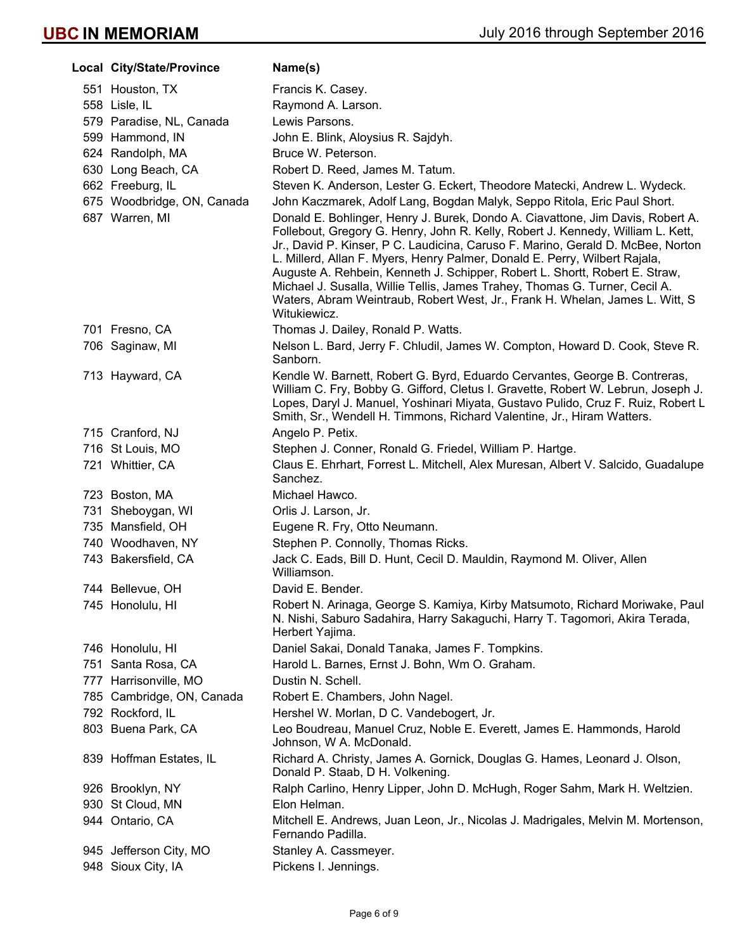| Local City/State/Province                    | Name(s)                                                                                                                                                                                                                                                                                                                                                                                                                                                                                                                                                                                                                                                                       |  |
|----------------------------------------------|-------------------------------------------------------------------------------------------------------------------------------------------------------------------------------------------------------------------------------------------------------------------------------------------------------------------------------------------------------------------------------------------------------------------------------------------------------------------------------------------------------------------------------------------------------------------------------------------------------------------------------------------------------------------------------|--|
| 551 Houston, TX                              | Francis K. Casey.                                                                                                                                                                                                                                                                                                                                                                                                                                                                                                                                                                                                                                                             |  |
| 558 Lisle, IL                                | Raymond A. Larson.                                                                                                                                                                                                                                                                                                                                                                                                                                                                                                                                                                                                                                                            |  |
| 579 Paradise, NL, Canada                     | Lewis Parsons.                                                                                                                                                                                                                                                                                                                                                                                                                                                                                                                                                                                                                                                                |  |
| 599 Hammond, IN                              | John E. Blink, Aloysius R. Sajdyh.                                                                                                                                                                                                                                                                                                                                                                                                                                                                                                                                                                                                                                            |  |
| 624 Randolph, MA                             | Bruce W. Peterson.                                                                                                                                                                                                                                                                                                                                                                                                                                                                                                                                                                                                                                                            |  |
| 630 Long Beach, CA                           | Robert D. Reed, James M. Tatum.                                                                                                                                                                                                                                                                                                                                                                                                                                                                                                                                                                                                                                               |  |
| 662 Freeburg, IL                             | Steven K. Anderson, Lester G. Eckert, Theodore Matecki, Andrew L. Wydeck.                                                                                                                                                                                                                                                                                                                                                                                                                                                                                                                                                                                                     |  |
| 675 Woodbridge, ON, Canada<br>687 Warren, MI | John Kaczmarek, Adolf Lang, Bogdan Malyk, Seppo Ritola, Eric Paul Short.<br>Donald E. Bohlinger, Henry J. Burek, Dondo A. Ciavattone, Jim Davis, Robert A.<br>Follebout, Gregory G. Henry, John R. Kelly, Robert J. Kennedy, William L. Kett,<br>Jr., David P. Kinser, P C. Laudicina, Caruso F. Marino, Gerald D. McBee, Norton<br>L. Millerd, Allan F. Myers, Henry Palmer, Donald E. Perry, Wilbert Rajala,<br>Auguste A. Rehbein, Kenneth J. Schipper, Robert L. Shortt, Robert E. Straw,<br>Michael J. Susalla, Willie Tellis, James Trahey, Thomas G. Turner, Cecil A.<br>Waters, Abram Weintraub, Robert West, Jr., Frank H. Whelan, James L. Witt, S.<br>Witukiewicz. |  |
| 701 Fresno, CA                               | Thomas J. Dailey, Ronald P. Watts.                                                                                                                                                                                                                                                                                                                                                                                                                                                                                                                                                                                                                                            |  |
| 706 Saginaw, MI                              | Nelson L. Bard, Jerry F. Chludil, James W. Compton, Howard D. Cook, Steve R.<br>Sanborn.                                                                                                                                                                                                                                                                                                                                                                                                                                                                                                                                                                                      |  |
| 713 Hayward, CA                              | Kendle W. Barnett, Robert G. Byrd, Eduardo Cervantes, George B. Contreras,<br>William C. Fry, Bobby G. Gifford, Cletus I. Gravette, Robert W. Lebrun, Joseph J.<br>Lopes, Daryl J. Manuel, Yoshinari Miyata, Gustavo Pulido, Cruz F. Ruiz, Robert L<br>Smith, Sr., Wendell H. Timmons, Richard Valentine, Jr., Hiram Watters.                                                                                                                                                                                                                                                                                                                                                 |  |
| 715 Cranford, NJ                             | Angelo P. Petix.                                                                                                                                                                                                                                                                                                                                                                                                                                                                                                                                                                                                                                                              |  |
| 716 St Louis, MO                             | Stephen J. Conner, Ronald G. Friedel, William P. Hartge.                                                                                                                                                                                                                                                                                                                                                                                                                                                                                                                                                                                                                      |  |
| 721 Whittier, CA                             | Claus E. Ehrhart, Forrest L. Mitchell, Alex Muresan, Albert V. Salcido, Guadalupe<br>Sanchez.                                                                                                                                                                                                                                                                                                                                                                                                                                                                                                                                                                                 |  |
| 723 Boston, MA                               | Michael Hawco.                                                                                                                                                                                                                                                                                                                                                                                                                                                                                                                                                                                                                                                                |  |
| 731 Sheboygan, WI                            | Orlis J. Larson, Jr.                                                                                                                                                                                                                                                                                                                                                                                                                                                                                                                                                                                                                                                          |  |
| 735 Mansfield, OH                            | Eugene R. Fry, Otto Neumann.                                                                                                                                                                                                                                                                                                                                                                                                                                                                                                                                                                                                                                                  |  |
| 740 Woodhaven, NY                            | Stephen P. Connolly, Thomas Ricks.                                                                                                                                                                                                                                                                                                                                                                                                                                                                                                                                                                                                                                            |  |
| 743 Bakersfield, CA                          | Jack C. Eads, Bill D. Hunt, Cecil D. Mauldin, Raymond M. Oliver, Allen<br>Williamson.                                                                                                                                                                                                                                                                                                                                                                                                                                                                                                                                                                                         |  |
| 744 Bellevue, OH                             | David E. Bender.                                                                                                                                                                                                                                                                                                                                                                                                                                                                                                                                                                                                                                                              |  |
| 745 Honolulu, HI                             | Robert N. Arinaga, George S. Kamiya, Kirby Matsumoto, Richard Moriwake, Paul<br>N. Nishi, Saburo Sadahira, Harry Sakaguchi, Harry T. Tagomori, Akira Terada,<br>Herbert Yajima.                                                                                                                                                                                                                                                                                                                                                                                                                                                                                               |  |
| 746 Honolulu, HI                             | Daniel Sakai, Donald Tanaka, James F. Tompkins.                                                                                                                                                                                                                                                                                                                                                                                                                                                                                                                                                                                                                               |  |
| 751 Santa Rosa, CA                           | Harold L. Barnes, Ernst J. Bohn, Wm O. Graham.                                                                                                                                                                                                                                                                                                                                                                                                                                                                                                                                                                                                                                |  |
| 777 Harrisonville, MO                        | Dustin N. Schell.                                                                                                                                                                                                                                                                                                                                                                                                                                                                                                                                                                                                                                                             |  |
| 785 Cambridge, ON, Canada                    | Robert E. Chambers, John Nagel.                                                                                                                                                                                                                                                                                                                                                                                                                                                                                                                                                                                                                                               |  |
| 792 Rockford, IL                             | Hershel W. Morlan, D C. Vandebogert, Jr.                                                                                                                                                                                                                                                                                                                                                                                                                                                                                                                                                                                                                                      |  |
| 803 Buena Park, CA                           | Leo Boudreau, Manuel Cruz, Noble E. Everett, James E. Hammonds, Harold<br>Johnson, W A. McDonald.                                                                                                                                                                                                                                                                                                                                                                                                                                                                                                                                                                             |  |
| 839 Hoffman Estates, IL                      | Richard A. Christy, James A. Gornick, Douglas G. Hames, Leonard J. Olson,<br>Donald P. Staab, D H. Volkening.                                                                                                                                                                                                                                                                                                                                                                                                                                                                                                                                                                 |  |
| 926 Brooklyn, NY                             | Ralph Carlino, Henry Lipper, John D. McHugh, Roger Sahm, Mark H. Weltzien.                                                                                                                                                                                                                                                                                                                                                                                                                                                                                                                                                                                                    |  |
| 930 St Cloud, MN                             | Elon Helman.                                                                                                                                                                                                                                                                                                                                                                                                                                                                                                                                                                                                                                                                  |  |
| 944 Ontario, CA                              | Mitchell E. Andrews, Juan Leon, Jr., Nicolas J. Madrigales, Melvin M. Mortenson,<br>Fernando Padilla.                                                                                                                                                                                                                                                                                                                                                                                                                                                                                                                                                                         |  |
| 945 Jefferson City, MO                       | Stanley A. Cassmeyer.                                                                                                                                                                                                                                                                                                                                                                                                                                                                                                                                                                                                                                                         |  |
| 948 Sioux City, IA                           | Pickens I. Jennings.                                                                                                                                                                                                                                                                                                                                                                                                                                                                                                                                                                                                                                                          |  |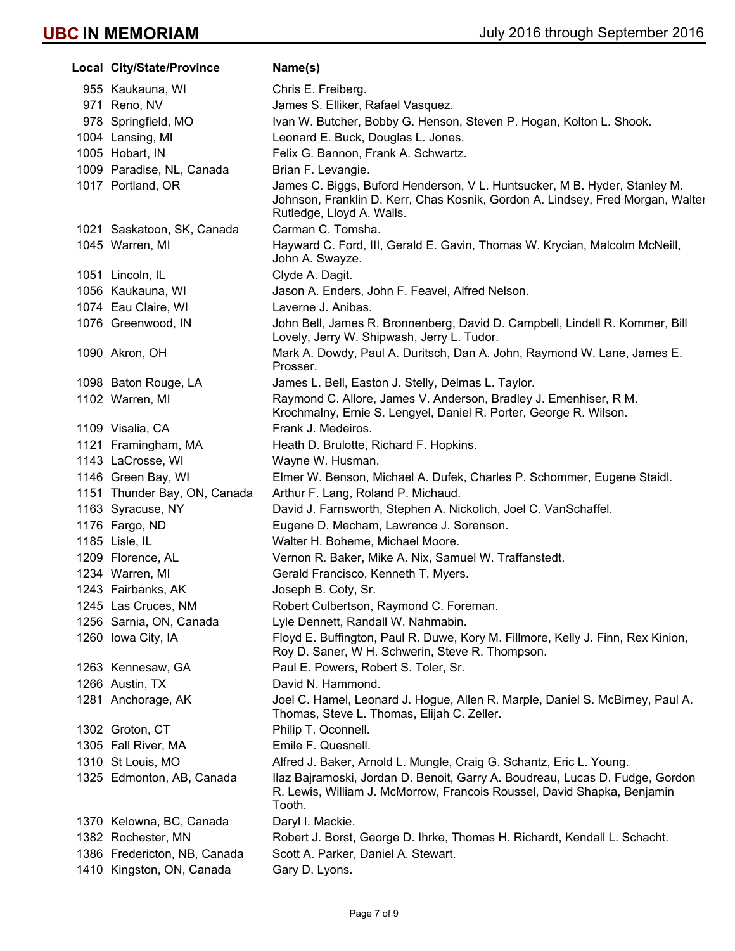**Local City/State/Province Mame(s)** 955 Kaukauna, WI Chris E. Freiberg. 971 Reno, NV James S. Elliker, Rafael Vasquez. 978 Springfield, MO Ivan W. Butcher, Bobby G. Henson, Steven P. Hogan, Kolton L. Shook. 1004 Lansing, MI Leonard E. Buck, Douglas L. Jones. 1005 Hobart, IN Felix G. Bannon, Frank A. Schwartz. 1009 Paradise, NL, Canada Brian F. Levangie. 1017 Portland, OR James C. Biggs, Buford Henderson, V L. Huntsucker, M B. Hyder, Stanley M. Johnson, Franklin D. Kerr, Chas Kosnik, Gordon A. Lindsey, Fred Morgan, Walter Rutledge, Lloyd A. Walls. 1021 Saskatoon, SK, Canada Carman C. Tomsha. 1045 Warren, MI Hayward C. Ford, III, Gerald E. Gavin, Thomas W. Krycian, Malcolm McNeill, John A. Swayze. 1051 Lincoln, IL Clyde A. Dagit. 1056 Kaukauna, WI Jason A. Enders, John F. Feavel, Alfred Nelson. 1074 Eau Claire, WI **Laverne J. Anibas.** 1076 Greenwood, IN John Bell, James R. Bronnenberg, David D. Campbell, Lindell R. Kommer, Bill Lovely, Jerry W. Shipwash, Jerry L. Tudor. 1090 Akron, OH Mark A. Dowdy, Paul A. Duritsch, Dan A. John, Raymond W. Lane, James E. Prosser. 1098 Baton Rouge, LA James L. Bell, Easton J. Stelly, Delmas L. Taylor. 1102 Warren, MI Raymond C. Allore, James V. Anderson, Bradley J. Emenhiser, R M. Krochmalny, Ernie S. Lengyel, Daniel R. Porter, George R. Wilson. 1109 Visalia, CA Frank J. Medeiros. 1121 Framingham, MA Heath D. Brulotte, Richard F. Hopkins. 1143 LaCrosse, WI Wayne W. Husman. 1146 Green Bay, WI Elmer W. Benson, Michael A. Dufek, Charles P. Schommer, Eugene Staidl. 1151 Thunder Bay, ON, Canada Arthur F. Lang, Roland P. Michaud. 1163 Syracuse, NY David J. Farnsworth, Stephen A. Nickolich, Joel C. VanSchaffel. 1176 Fargo, ND Eugene D. Mecham, Lawrence J. Sorenson. 1185 Lisle, IL Walter H. Boheme, Michael Moore. 1209 Florence, AL Vernon R. Baker, Mike A. Nix, Samuel W. Traffanstedt. 1234 Warren, MI Gerald Francisco, Kenneth T. Myers. 1243 Fairbanks, AK Joseph B. Coty, Sr. 1245 Las Cruces, NM Robert Culbertson, Raymond C. Foreman. 1256 Sarnia, ON, Canada Lyle Dennett, Randall W. Nahmabin. 1260 Iowa City, IA **Floyd E. Buffington, Paul R. Duwe, Kory M. Fillmore, Kelly J. Finn, Rex Kinion,** Roy D. Saner, W H. Schwerin, Steve R. Thompson. 1263 Kennesaw, GA Paul E. Powers, Robert S. Toler, Sr. 1266 Austin, TX David N. Hammond. 1281 Anchorage, AK Joel C. Hamel, Leonard J. Hogue, Allen R. Marple, Daniel S. McBirney, Paul A. Thomas, Steve L. Thomas, Elijah C. Zeller. 1302 Groton, CT Philip T. Oconnell. 1305 Fall River, MA Emile F. Quesnell. 1310 St Louis, MO Alfred J. Baker, Arnold L. Mungle, Craig G. Schantz, Eric L. Young. 1325 Edmonton, AB, Canada Ilaz Bajramoski, Jordan D. Benoit, Garry A. Boudreau, Lucas D. Fudge, Gordon R. Lewis, William J. McMorrow, Francois Roussel, David Shapka, Benjamin Tooth. 1370 Kelowna, BC, Canada Daryl I. Mackie. 1382 Rochester, MN Robert J. Borst, George D. Ihrke, Thomas H. Richardt, Kendall L. Schacht. 1386 Fredericton, NB, Canada Scott A. Parker, Daniel A. Stewart. 1410 Kingston, ON, Canada Gary D. Lyons.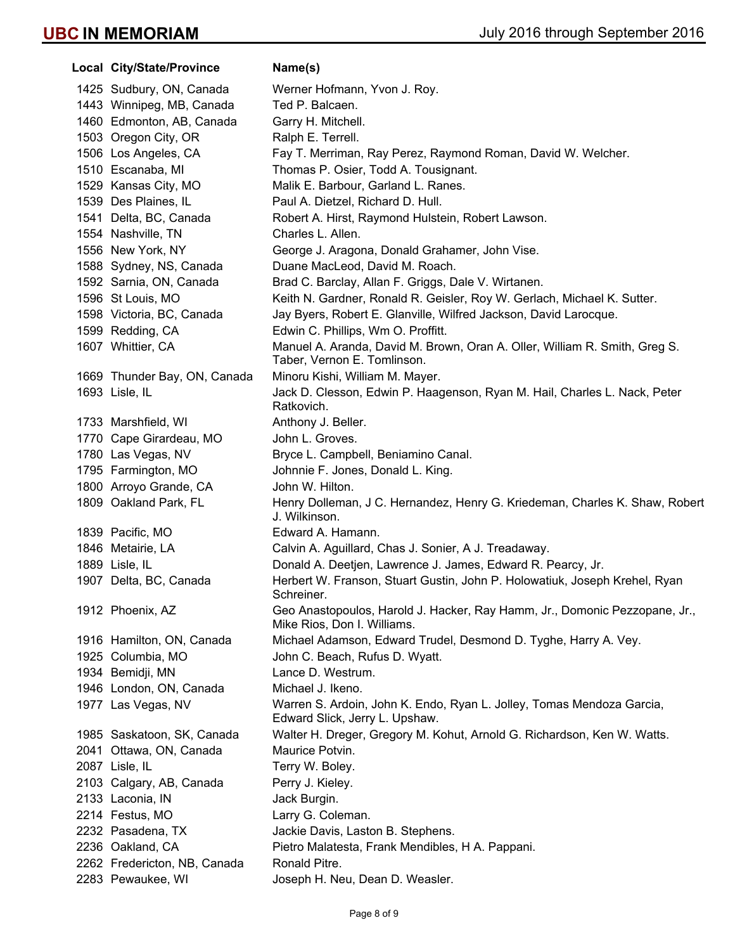| Local City/State/Province    | Name(s)                                                                                                   |  |
|------------------------------|-----------------------------------------------------------------------------------------------------------|--|
| 1425 Sudbury, ON, Canada     | Werner Hofmann, Yvon J. Roy.                                                                              |  |
| 1443 Winnipeg, MB, Canada    | Ted P. Balcaen.                                                                                           |  |
| 1460 Edmonton, AB, Canada    | Garry H. Mitchell.                                                                                        |  |
| 1503 Oregon City, OR         | Ralph E. Terrell.                                                                                         |  |
| 1506 Los Angeles, CA         | Fay T. Merriman, Ray Perez, Raymond Roman, David W. Welcher.                                              |  |
| 1510 Escanaba, MI            | Thomas P. Osier, Todd A. Tousignant.                                                                      |  |
| 1529 Kansas City, MO         | Malik E. Barbour, Garland L. Ranes.                                                                       |  |
| 1539 Des Plaines, IL         | Paul A. Dietzel, Richard D. Hull.                                                                         |  |
| 1541 Delta, BC, Canada       | Robert A. Hirst, Raymond Hulstein, Robert Lawson.                                                         |  |
| 1554 Nashville, TN           | Charles L. Allen.                                                                                         |  |
| 1556 New York, NY            | George J. Aragona, Donald Grahamer, John Vise.                                                            |  |
| 1588 Sydney, NS, Canada      | Duane MacLeod, David M. Roach.                                                                            |  |
| 1592 Sarnia, ON, Canada      | Brad C. Barclay, Allan F. Griggs, Dale V. Wirtanen.                                                       |  |
| 1596 St Louis, MO            | Keith N. Gardner, Ronald R. Geisler, Roy W. Gerlach, Michael K. Sutter.                                   |  |
| 1598 Victoria, BC, Canada    | Jay Byers, Robert E. Glanville, Wilfred Jackson, David Larocque.                                          |  |
| 1599 Redding, CA             | Edwin C. Phillips, Wm O. Proffitt.                                                                        |  |
| 1607 Whittier, CA            | Manuel A. Aranda, David M. Brown, Oran A. Oller, William R. Smith, Greg S.<br>Taber, Vernon E. Tomlinson. |  |
| 1669 Thunder Bay, ON, Canada | Minoru Kishi, William M. Mayer.                                                                           |  |
| 1693 Lisle, IL               | Jack D. Clesson, Edwin P. Haagenson, Ryan M. Hail, Charles L. Nack, Peter<br>Ratkovich.                   |  |
| 1733 Marshfield, WI          | Anthony J. Beller.                                                                                        |  |
| 1770 Cape Girardeau, MO      | John L. Groves.                                                                                           |  |
| 1780 Las Vegas, NV           | Bryce L. Campbell, Beniamino Canal.                                                                       |  |
| 1795 Farmington, MO          | Johnnie F. Jones, Donald L. King.                                                                         |  |
| 1800 Arroyo Grande, CA       | John W. Hilton.                                                                                           |  |
| 1809 Oakland Park, FL        | Henry Dolleman, J C. Hernandez, Henry G. Kriedeman, Charles K. Shaw, Robert<br>J. Wilkinson.              |  |
| 1839 Pacific, MO             | Edward A. Hamann.                                                                                         |  |
| 1846 Metairie, LA            | Calvin A. Aguillard, Chas J. Sonier, A J. Treadaway.                                                      |  |
| 1889 Lisle, IL               | Donald A. Deetjen, Lawrence J. James, Edward R. Pearcy, Jr.                                               |  |
| 1907 Delta, BC, Canada       | Herbert W. Franson, Stuart Gustin, John P. Holowatiuk, Joseph Krehel, Ryan<br>Schreiner.                  |  |
| 1912 Phoenix, AZ             | Geo Anastopoulos, Harold J. Hacker, Ray Hamm, Jr., Domonic Pezzopane, Jr.,<br>Mike Rios, Don I. Williams. |  |
| 1916 Hamilton, ON, Canada    | Michael Adamson, Edward Trudel, Desmond D. Tyghe, Harry A. Vey.                                           |  |
| 1925 Columbia, MO            | John C. Beach, Rufus D. Wyatt.                                                                            |  |
| 1934 Bemidji, MN             | Lance D. Westrum.                                                                                         |  |
| 1946 London, ON, Canada      | Michael J. Ikeno.                                                                                         |  |
| 1977 Las Vegas, NV           | Warren S. Ardoin, John K. Endo, Ryan L. Jolley, Tomas Mendoza Garcia,<br>Edward Slick, Jerry L. Upshaw.   |  |
| 1985 Saskatoon, SK, Canada   | Walter H. Dreger, Gregory M. Kohut, Arnold G. Richardson, Ken W. Watts.                                   |  |
| 2041 Ottawa, ON, Canada      | Maurice Potvin.                                                                                           |  |
| 2087 Lisle, IL               | Terry W. Boley.                                                                                           |  |
| 2103 Calgary, AB, Canada     | Perry J. Kieley.                                                                                          |  |
| 2133 Laconia, IN             | Jack Burgin.                                                                                              |  |
| 2214 Festus, MO              | Larry G. Coleman.                                                                                         |  |
| 2232 Pasadena, TX            | Jackie Davis, Laston B. Stephens.                                                                         |  |
| 2236 Oakland, CA             | Pietro Malatesta, Frank Mendibles, H A. Pappani.                                                          |  |
| 2262 Fredericton, NB, Canada | Ronald Pitre.                                                                                             |  |
| 2283 Pewaukee, WI            | Joseph H. Neu, Dean D. Weasler.                                                                           |  |